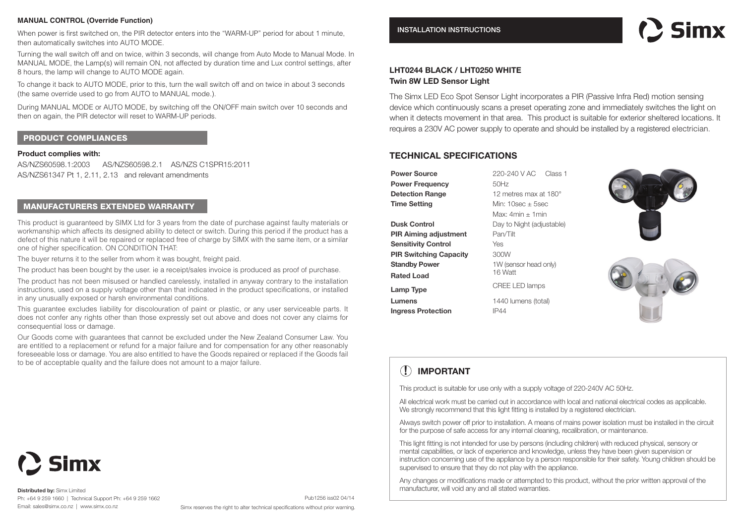## **MANUAL CONTROL (Override Function)**

When power is first switched on, the PIR detector enters into the "WARM-UP" period for about 1 minute then automatically switches into AUTO MODE.

Turning the wall switch off and on twice, within 3 seconds, will change from Auto Mode to Manual Mode. In MANUAL MODE, the Lamp(s) will remain ON, not affected by duration time and Lux control settings, after 8 hours, the lamp will change to AUTO MODE again.

To change it back to AUTO MODE, prior to this, turn the wall switch off and on twice in about 3 seconds (the same override used to go from AUTO to MANUAL mode.).

During MANUAL MODE or AUTO MODE, by switching off the ON/OFF main switch over 10 seconds and then on again, the PIR detector will reset to WARM-UP periods.

## PRODUCT COMPLIANCES

#### **Product complies with:**

AS/NZS60598.1:2003 AS/NZS60598.2.1 AS/NZS C1SPR15:2011 AS/NZS61347 Pt 1, 2.11, 2.13 and relevant amendments

## MANUFACTURERS EXTENDED WARRANTY

This product is guaranteed by SIMX Ltd for 3 years from the date of purchase against faulty materials or workmanship which affects its designed ability to detect or switch. During this period if the product has a defect of this nature it will be repaired or replaced free of charge by SIMX with the same item, or a similar one of higher specification. ON CONDITION THAT:

The buyer returns it to the seller from whom it was bought, freight paid.

The product has been bought by the user. ie a receipt/sales invoice is produced as proof of purchase.

The product has not been misused or handled carelessly, installed in anyway contrary to the installation instructions, used on a supply voltage other than that indicated in the product specifications, or installed in any unusually exposed or harsh environmental conditions.

This guarantee excludes liability for discolouration of paint or plastic, or any user serviceable parts. It does not confer any rights other than those expressly set out above and does not cover any claims for consequential loss or damage.

Our Goods come with guarantees that cannot be excluded under the New Zealand Consumer Law. You are entitled to a replacement or refund for a major failure and for compensation for any other reasonably foreseeable loss or damage. You are also entitled to have the Goods repaired or replaced if the Goods fail to be of acceptable quality and the failure does not amount to a major failure.

## INSTALLATION INSTRUCTIONS

# : Simv

## **LHT0244 BLACK / LHT0250 WHITE Twin 8W LED Sensor Light**

The Simx LED Eco Spot Sensor Light incorporates a PIR (Passive Infra Red) motion sensing device which continuously scans a preset operating zone and immediately switches the light on when it detects movement in that area. This product is suitable for exterior sheltered locations. It requires a 230V AC power supply to operate and should be installed by a registered electrician.

## **TECHNICAL SPECIFICATIONS**

**Power Source** 220-240 V AC Class 1 **Power Frequency** 50Hz **Detection Range** 12 metres max at 180° **Time Setting** Min: 10sec ± 5sec **Dusk Control** Day to Night (adjustable) **PIR Aiming adjustment** Pan/Tilt **Sensitivity Control** Yes **PIR Switching Capacity** 300W **Standby Power** 1W (sensor head only) **Rated Load** 

**Ingress Protection** IP44

Max:  $4min + 1min$ **Lamp Type** CREE LED lamps **Lumens** 1440 lumens (total)





## **! IMPORTANT**

This product is suitable for use only with a supply voltage of 220-240V AC 50Hz.

All electrical work must be carried out in accordance with local and national electrical codes as applicable. We strongly recommend that this light fitting is installed by a registered electrician.

Always switch power off prior to installation. A means of mains power isolation must be installed in the circuit for the purpose of safe access for any internal cleaning, recalibration, or maintenance.

This light fitting is not intended for use by persons (including children) with reduced physical, sensory or mental capabilities, or lack of experience and knowledge, unless they have been given supervision or instruction concerning use of the appliance by a person responsible for their safety. Young children should be supervised to ensure that they do not play with the appliance.

Any changes or modifications made or attempted to this product, without the prior written approval of the manufacturer, will void any and all stated warranties.